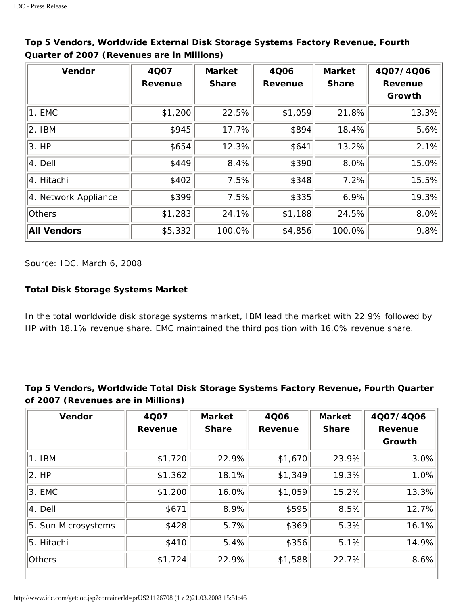| <b>Vendor</b>        | 4Q07<br><b>Revenue</b> | <b>Market</b><br><b>Share</b> | <b>4Q06</b><br>Revenue | <b>Market</b><br><b>Share</b> | 4Q07/4Q06<br><b>Revenue</b><br>Growth |
|----------------------|------------------------|-------------------------------|------------------------|-------------------------------|---------------------------------------|
| $ 1.$ EMC            | \$1,200                | 22.5%                         | \$1,059                | 21.8%                         | 13.3%                                 |
| $ 2.$ IBM            | \$945                  | 17.7%                         | \$894                  | 18.4%                         | 5.6%                                  |
| $ 3.$ HP             | \$654                  | 12.3%                         | \$641                  | 13.2%                         | 2.1%                                  |
| $ 4.$ Dell           | \$449                  | 8.4%                          | \$390                  | 8.0%                          | 15.0%                                 |
| 4. Hitachi           | \$402                  | 7.5%                          | \$348                  | 7.2%                          | 15.5%                                 |
| 4. Network Appliance | \$399                  | 7.5%                          | \$335                  | 6.9%                          | 19.3%                                 |
| <b>Others</b>        | \$1,283                | 24.1%                         | \$1,188                | 24.5%                         | 8.0%                                  |
| <b>All Vendors</b>   | \$5,332                | 100.0%                        | \$4,856                | 100.0%                        | 9.8%                                  |

**Top 5 Vendors, Worldwide External Disk Storage Systems Factory Revenue, Fourth Quarter of 2007 (Revenues are in Millions)** 

*Source: IDC, March 6, 2008*

## **Total Disk Storage Systems Market**

In the total worldwide disk storage systems market, IBM lead the market with 22.9% followed by HP with 18.1% revenue share. EMC maintained the third position with 16.0% revenue share.

## **Top 5 Vendors, Worldwide Total Disk Storage Systems Factory Revenue, Fourth Quarter of 2007 (Revenues are in Millions)**

| <b>Vendor</b>       | 4Q07    | <b>Market</b> | 4Q06    | <b>Market</b> | 4Q07/4Q06                |
|---------------------|---------|---------------|---------|---------------|--------------------------|
|                     | Revenue | <b>Share</b>  | Revenue | <b>Share</b>  | <b>Revenue</b><br>Growth |
| $ 1.$ IBM           | \$1,720 | 22.9%         | \$1,670 | 23.9%         | 3.0%                     |
| $ 2.$ HP            | \$1,362 | 18.1%         | \$1,349 | 19.3%         | 1.0%                     |
| $ 3.$ EMC           | \$1,200 | 16.0%         | \$1,059 | 15.2%         | 13.3%                    |
| $ 4.$ Dell          | \$671   | 8.9%          | \$595   | 8.5%          | 12.7%                    |
| 5. Sun Microsystems | \$428   | 5.7%          | \$369   | 5.3%          | 16.1%                    |
| 5. Hitachi          | \$410   | 5.4%          | \$356   | 5.1%          | 14.9%                    |
| Others              | \$1,724 | 22.9%         | \$1,588 | 22.7%         | 8.6%                     |